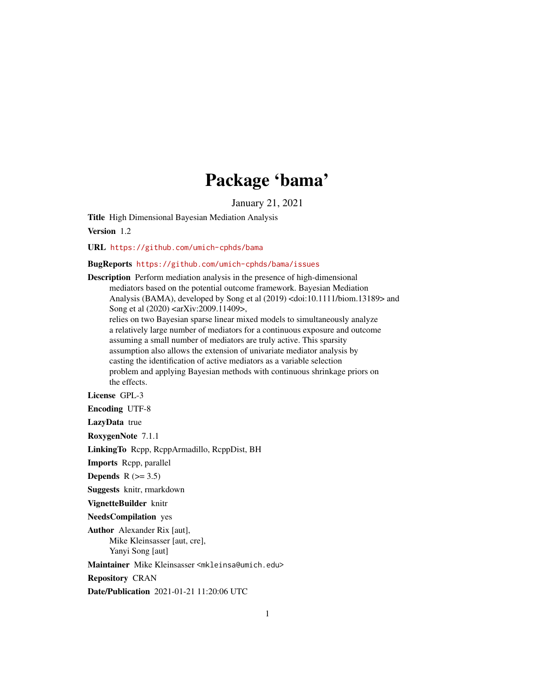## Package 'bama'

January 21, 2021

Title High Dimensional Bayesian Mediation Analysis

Version 1.2

URL <https://github.com/umich-cphds/bama>

#### BugReports <https://github.com/umich-cphds/bama/issues>

Description Perform mediation analysis in the presence of high-dimensional mediators based on the potential outcome framework. Bayesian Mediation Analysis (BAMA), developed by Song et al (2019) <doi:10.1111/biom.13189> and Song et al (2020) <arXiv:2009.11409>, relies on two Bayesian sparse linear mixed models to simultaneously analyze a relatively large number of mediators for a continuous exposure and outcome assuming a small number of mediators are truly active. This sparsity assumption also allows the extension of univariate mediator analysis by casting the identification of active mediators as a variable selection problem and applying Bayesian methods with continuous shrinkage priors on the effects. License GPL-3 Encoding UTF-8 LazyData true RoxygenNote 7.1.1

LinkingTo Rcpp, RcppArmadillo, RcppDist, BH

Imports Rcpp, parallel

Depends  $R$  ( $>= 3.5$ )

Suggests knitr, rmarkdown

VignetteBuilder knitr

NeedsCompilation yes

Author Alexander Rix [aut], Mike Kleinsasser [aut, cre], Yanyi Song [aut]

Maintainer Mike Kleinsasser <mkleinsa@umich.edu>

Repository CRAN

Date/Publication 2021-01-21 11:20:06 UTC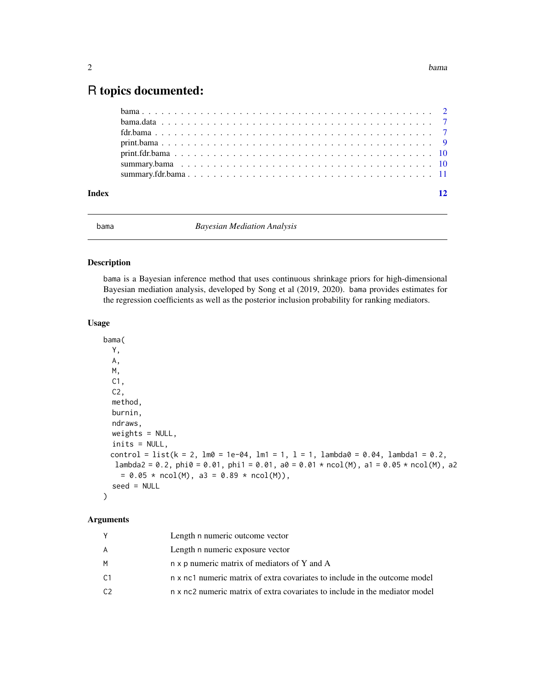### <span id="page-1-0"></span>R topics documented:

| Index | $\overline{12}$ |
|-------|-----------------|
|       |                 |
|       |                 |
|       |                 |
|       |                 |
|       |                 |
|       |                 |
|       |                 |

#### bama *Bayesian Mediation Analysis*

#### Description

bama is a Bayesian inference method that uses continuous shrinkage priors for high-dimensional Bayesian mediation analysis, developed by Song et al (2019, 2020). bama provides estimates for the regression coefficients as well as the posterior inclusion probability for ranking mediators.

#### Usage

```
bama(
 Y,
 A,
 M,
 C1,
 C2,
 method,
 burnin,
 ndraws,
 weights = NULL,inits = NULL,
 control = list(k = 2, lm0 = 1e-04, lm1 = 1, l = 1, lambda0 = 0.04, lambda1 = 0.2,
  lambda2 = 0.2, phi = 0.01, phi1 = 0.01, a0 = 0.01 * ncol(M), a1 = 0.05 * ncol(M), a2= 0.05 * \text{ncol(M)}, a3 = 0.89 * \text{ncol(M)},
  seed = NULL
)
```
#### Arguments

|    | Length n numeric outcome vector                                             |
|----|-----------------------------------------------------------------------------|
| A  | Length n numeric exposure vector                                            |
| M  | n x p numeric matrix of mediators of Y and A                                |
| C1 | n x nc1 numeric matrix of extra covariates to include in the outcome model  |
| C2 | n x nc2 numeric matrix of extra covariates to include in the mediator model |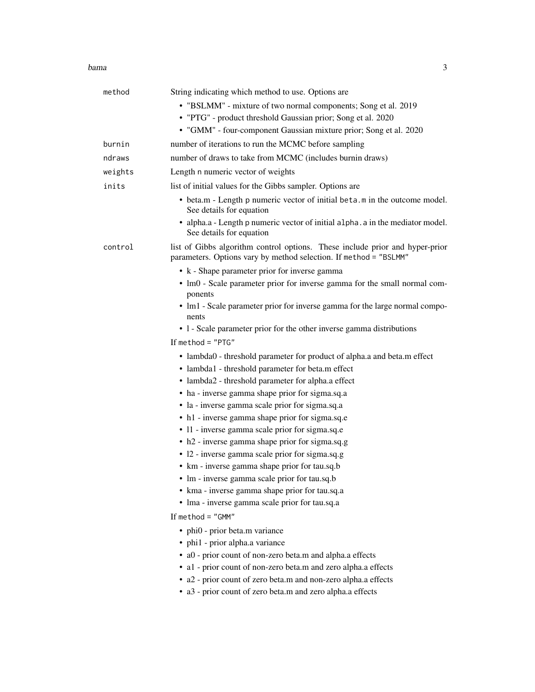#### bama 3

| method  | String indicating which method to use. Options are                                                                                                |
|---------|---------------------------------------------------------------------------------------------------------------------------------------------------|
|         | • "BSLMM" - mixture of two normal components; Song et al. 2019                                                                                    |
|         | • "PTG" - product threshold Gaussian prior; Song et al. 2020                                                                                      |
|         | • "GMM" - four-component Gaussian mixture prior; Song et al. 2020                                                                                 |
| burnin  | number of iterations to run the MCMC before sampling                                                                                              |
| ndraws  | number of draws to take from MCMC (includes burnin draws)                                                                                         |
| weights | Length n numeric vector of weights                                                                                                                |
| inits   | list of initial values for the Gibbs sampler. Options are                                                                                         |
|         | • beta.m - Length p numeric vector of initial beta.m in the outcome model.<br>See details for equation                                            |
|         | • alpha.a - Length p numeric vector of initial alpha. a in the mediator model.<br>See details for equation                                        |
| control | list of Gibbs algorithm control options. These include prior and hyper-prior<br>parameters. Options vary by method selection. If method = "BSLMM" |
|         | • k - Shape parameter prior for inverse gamma                                                                                                     |
|         | • lm0 - Scale parameter prior for inverse gamma for the small normal com-<br>ponents                                                              |
|         | • lm1 - Scale parameter prior for inverse gamma for the large normal compo-<br>nents                                                              |
|         | • 1 - Scale parameter prior for the other inverse gamma distributions                                                                             |
|         | If method = $"PTG"$                                                                                                                               |
|         | • lambda0 - threshold parameter for product of alpha.a and beta.m effect                                                                          |
|         | • lambda1 - threshold parameter for beta.m effect                                                                                                 |
|         | • lambda2 - threshold parameter for alpha.a effect                                                                                                |
|         | • ha - inverse gamma shape prior for sigma.sq.a                                                                                                   |
|         | · la - inverse gamma scale prior for sigma.sq.a                                                                                                   |
|         | • h1 - inverse gamma shape prior for sigma.sq.e                                                                                                   |
|         | · 11 - inverse gamma scale prior for sigma.sq.e                                                                                                   |
|         | • h2 - inverse gamma shape prior for sigma.sq.g                                                                                                   |
|         | • 12 - inverse gamma scale prior for sigma.sq.g                                                                                                   |
|         | • km - inverse gamma shape prior for tau.sq.b                                                                                                     |
|         | • Im - inverse gamma scale prior for tau.sq.b                                                                                                     |
|         | • kma - inverse gamma shape prior for tau.sq.a                                                                                                    |
|         | · lma - inverse gamma scale prior for tau.sq.a                                                                                                    |
|         | If $method = "GMM"$                                                                                                                               |
|         | • phi0 - prior beta.m variance                                                                                                                    |
|         | • phi1 - prior alpha.a variance                                                                                                                   |
|         | · a0 - prior count of non-zero beta.m and alpha.a effects                                                                                         |
|         | • al - prior count of non-zero beta.m and zero alpha.a effects                                                                                    |
|         | • a2 - prior count of zero beta.m and non-zero alpha.a effects                                                                                    |
|         | • a3 - prior count of zero beta.m and zero alpha.a effects                                                                                        |
|         |                                                                                                                                                   |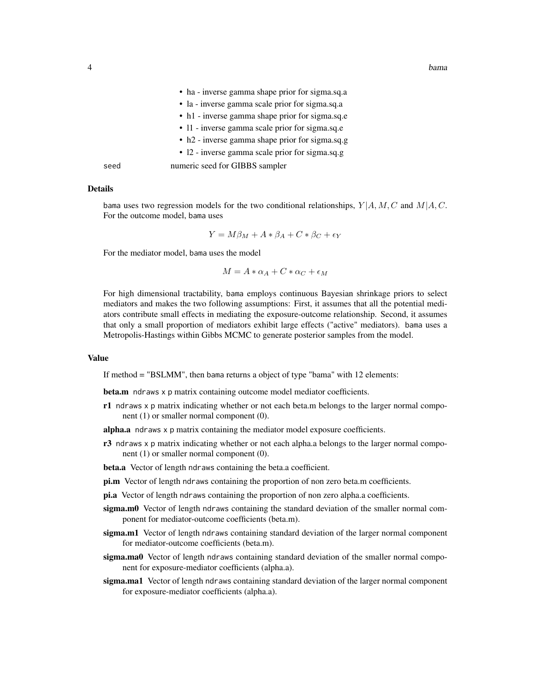|      | • na - inverse gamma snape prior for sigma.sq.a |
|------|-------------------------------------------------|
|      | • la - inverse gamma scale prior for sigma.sq.a |
|      | • h1 - inverse gamma shape prior for sigma.sq.e |
|      | • 11 - inverse gamma scale prior for sigma.sq.e |
|      | • h2 - inverse gamma shape prior for sigma.sq.g |
|      | • 12 - inverse gamma scale prior for sigma.sq.g |
| seed | numeric seed for GIBBS sampler                  |

• ha - inverse gamma shape prior for sigma.sq.a

#### Details

bama uses two regression models for the two conditional relationships,  $Y | A, M, C$  and  $M | A, C$ . For the outcome model, bama uses

$$
Y = M\beta_M + A * \beta_A + C * \beta_C + \epsilon_Y
$$

For the mediator model, bama uses the model

$$
M = A * \alpha_A + C * \alpha_C + \epsilon_M
$$

For high dimensional tractability, bama employs continuous Bayesian shrinkage priors to select mediators and makes the two following assumptions: First, it assumes that all the potential mediators contribute small effects in mediating the exposure-outcome relationship. Second, it assumes that only a small proportion of mediators exhibit large effects ("active" mediators). bama uses a Metropolis-Hastings within Gibbs MCMC to generate posterior samples from the model.

#### Value

If method = "BSLMM", then bama returns a object of type "bama" with 12 elements:

beta.m ndraws x p matrix containing outcome model mediator coefficients.

r1 ndraws x p matrix indicating whether or not each beta.m belongs to the larger normal component (1) or smaller normal component (0).

alpha.a ndraws x p matrix containing the mediator model exposure coefficients.

- $r3$  ndraws x p matrix indicating whether or not each alpha.a belongs to the larger normal component (1) or smaller normal component (0).
- beta.a Vector of length ndraws containing the beta.a coefficient.
- pi.m Vector of length ndraws containing the proportion of non zero beta.m coefficients.
- pi.a Vector of length ndraws containing the proportion of non zero alpha.a coefficients.
- sigma.m0 Vector of length ndraws containing the standard deviation of the smaller normal component for mediator-outcome coefficients (beta.m).
- sigma.m1 Vector of length ndraws containing standard deviation of the larger normal component for mediator-outcome coefficients (beta.m).
- sigma.ma0 Vector of length ndraws containing standard deviation of the smaller normal component for exposure-mediator coefficients (alpha.a).
- sigma.ma1 Vector of length ndraws containing standard deviation of the larger normal component for exposure-mediator coefficients (alpha.a).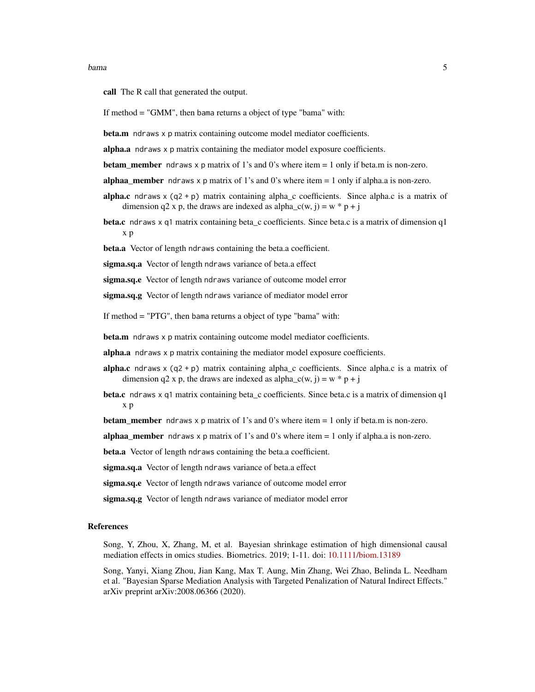call The R call that generated the output.

If method = "GMM", then bama returns a object of type "bama" with:

beta.m ndraws x p matrix containing outcome model mediator coefficients.

alpha.a ndraws x p matrix containing the mediator model exposure coefficients.

**betam\_member** ndraws x p matrix of 1's and 0's where item  $= 1$  only if beta.m is non-zero.

**alphaa\_member** ndraws x p matrix of 1's and 0's where item  $= 1$  only if alpha.a is non-zero.

- alpha.c ndraws  $x$  (q2 + p) matrix containing alpha\_c coefficients. Since alpha.c is a matrix of dimension q2 x p, the draws are indexed as alpha\_c(w, j) = w  $*$  p + j
- **beta.c** ndraws x q1 matrix containing beta c coefficients. Since beta.c is a matrix of dimension q1 x p

beta.a Vector of length ndraws containing the beta.a coefficient.

sigma.sq.a Vector of length ndraws variance of beta.a effect

sigma.sq.e Vector of length ndraws variance of outcome model error

sigma.sq.g Vector of length ndraws variance of mediator model error

If method = "PTG", then bama returns a object of type "bama" with:

beta.m ndraws x p matrix containing outcome model mediator coefficients.

alpha.a ndraws x p matrix containing the mediator model exposure coefficients.

- alpha.c ndraws x  $(q2 + p)$  matrix containing alpha\_c coefficients. Since alpha.c is a matrix of dimension q2 x p, the draws are indexed as alpha\_c(w, j) = w  $*$  p + j
- beta.c ndraws x q1 matrix containing beta\_c coefficients. Since beta.c is a matrix of dimension q1 x p

**betam\_member** ndraws  $x$  p matrix of 1's and 0's where item  $= 1$  only if beta.m is non-zero.

**alphaa\_member** ndraws x p matrix of 1's and 0's where item  $= 1$  only if alpha.a is non-zero.

beta.a Vector of length ndraws containing the beta.a coefficient.

sigma.sq.a Vector of length ndraws variance of beta.a effect

sigma.sq.e Vector of length ndraws variance of outcome model error

sigma.sq.g Vector of length ndraws variance of mediator model error

#### References

Song, Y, Zhou, X, Zhang, M, et al. Bayesian shrinkage estimation of high dimensional causal mediation effects in omics studies. Biometrics. 2019; 1-11. doi: [10.1111/biom.13189](https://doi.org/10.1111/biom.13189)

Song, Yanyi, Xiang Zhou, Jian Kang, Max T. Aung, Min Zhang, Wei Zhao, Belinda L. Needham et al. "Bayesian Sparse Mediation Analysis with Targeted Penalization of Natural Indirect Effects." arXiv preprint arXiv:2008.06366 (2020).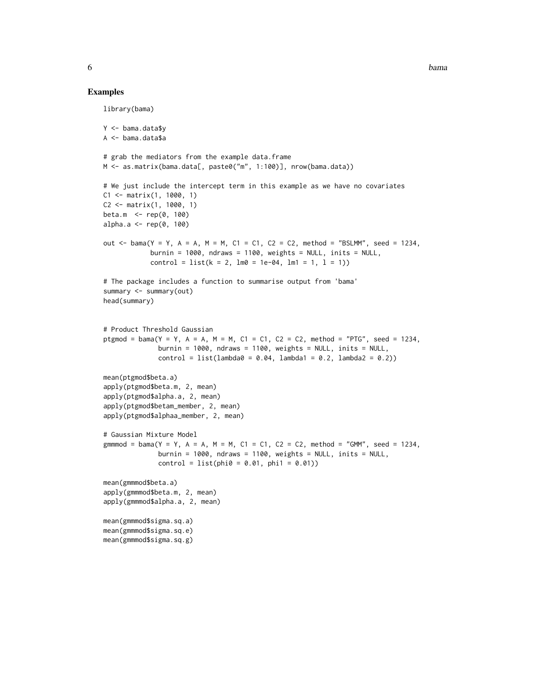#### Examples

```
library(bama)
Y <- bama.data$y
A <- bama.data$a
# grab the mediators from the example data.frame
M <- as.matrix(bama.data[, paste0("m", 1:100)], nrow(bama.data))
# We just include the intercept term in this example as we have no covariates
C1 <- matrix(1, 1000, 1)
C2 <- matrix(1, 1000, 1)
beta.m <- rep(0, 100)
alpha.a \leq rep(0, 100)
out \le bama(Y = Y, A = A, M = M, C1 = C1, C2 = C2, method = "BSLMM", seed = 1234,
            burnin = 1000, ndraws = 1100, weights = NULL, inits = NULL,
            control = list(k = 2, lm0 = 1e-04, lm1 = 1, l = 1))# The package includes a function to summarise output from 'bama'
summary <- summary(out)
head(summary)
# Product Threshold Gaussian
ptgmod = bama(Y = Y, A = A, M = M, C1 = C1, C2 = C2, method = "PTG", seed = 1234,
              burnin = 1000, ndraws = 1100, weights = NULL, inits = NULL,
              control = list(lambda = 0.04, lambda1 = 0.2, lambda2 = 0.2))mean(ptgmod$beta.a)
apply(ptgmod$beta.m, 2, mean)
apply(ptgmod$alpha.a, 2, mean)
apply(ptgmod$betam_member, 2, mean)
apply(ptgmod$alphaa_member, 2, mean)
# Gaussian Mixture Model
gmmmod = bama(Y = Y, A = A, M = M, C1 = C1, C2 = C2, method = "GMM", seed = 1234,
              burnin = 1000, ndraws = 1100, weights = NULL, inits = NULL,
              control = list(phi = 0.01, phi = 0.01)mean(gmmmod$beta.a)
apply(gmmmod$beta.m, 2, mean)
apply(gmmmod$alpha.a, 2, mean)
mean(gmmmod$sigma.sq.a)
mean(gmmmod$sigma.sq.e)
mean(gmmmod$sigma.sq.g)
```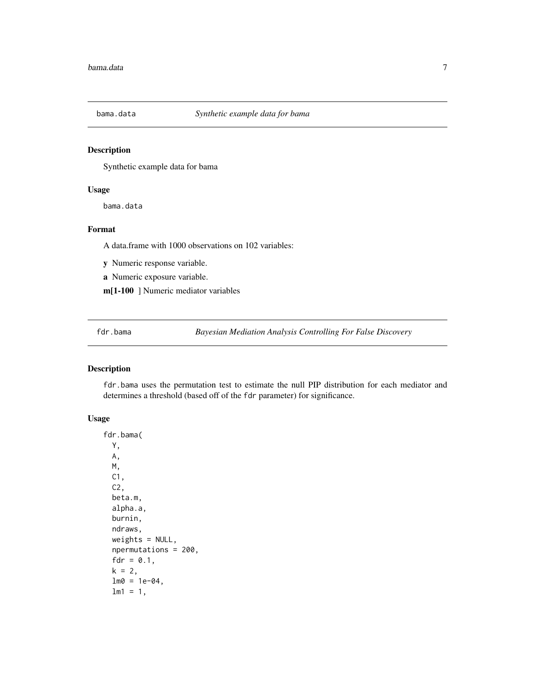<span id="page-6-0"></span>

#### Description

Synthetic example data for bama

#### Usage

bama.data

#### Format

A data.frame with 1000 observations on 102 variables:

y Numeric response variable.

a Numeric exposure variable.

m[1-100 ] Numeric mediator variables

fdr.bama *Bayesian Mediation Analysis Controlling For False Discovery*

#### Description

fdr.bama uses the permutation test to estimate the null PIP distribution for each mediator and determines a threshold (based off of the fdr parameter) for significance.

#### Usage

```
fdr.bama(
 Y,
 A,
 M,
 C1,
 C2,
 beta.m,
  alpha.a,
 burnin,
  ndraws,
 weights = NULL,npermutations = 200,
  fdr = 0.1,
  k = 2,lm0 = 1e-04,lm1 = 1,
```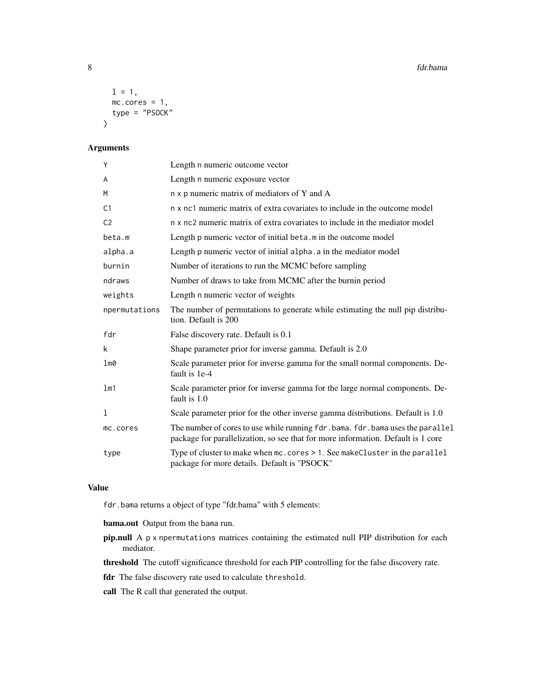```
1 = 1,
 mc.cores = 1,
  type = "PSOCK"
)
```
#### Arguments

| Y              | Length n numeric outcome vector                                                                                                                                     |
|----------------|---------------------------------------------------------------------------------------------------------------------------------------------------------------------|
| A              | Length n numeric exposure vector                                                                                                                                    |
| M              | n x p numeric matrix of mediators of Y and A                                                                                                                        |
| C <sub>1</sub> | n x nc1 numeric matrix of extra covariates to include in the outcome model                                                                                          |
| C <sub>2</sub> | n x nc2 numeric matrix of extra covariates to include in the mediator model                                                                                         |
| beta.m         | Length p numeric vector of initial beta. m in the outcome model                                                                                                     |
| alpha.a        | Length p numeric vector of initial alpha. a in the mediator model                                                                                                   |
| burnin         | Number of iterations to run the MCMC before sampling                                                                                                                |
| ndraws         | Number of draws to take from MCMC after the burnin period                                                                                                           |
| weights        | Length n numeric vector of weights                                                                                                                                  |
| npermutations  | The number of permutations to generate while estimating the null pip distribu-<br>tion. Default is 200                                                              |
| fdr            | False discovery rate. Default is 0.1                                                                                                                                |
| k              | Shape parameter prior for inverse gamma. Default is 2.0                                                                                                             |
| lm0            | Scale parameter prior for inverse gamma for the small normal components. De-<br>fault is 1e-4                                                                       |
| lm1            | Scale parameter prior for inverse gamma for the large normal components. De-<br>fault is 1.0                                                                        |
| 1              | Scale parameter prior for the other inverse gamma distributions. Default is 1.0                                                                                     |
| mc.cores       | The number of cores to use while running fdr. bama. fdr. bama uses the parallel<br>package for parallelization, so see that for more information. Default is 1 core |
| type           | Type of cluster to make when mc. cores > 1. See makeCluster in the parallel<br>package for more details. Default is "PSOCK"                                         |

#### Value

fdr.bama returns a object of type "fdr.bama" with 5 elements:

bama.out Output from the bama run.

pip.null A p x npermutations matrices containing the estimated null PIP distribution for each mediator.

threshold The cutoff significance threshold for each PIP controlling for the false discovery rate.

fdr The false discovery rate used to calculate threshold.

call The R call that generated the output.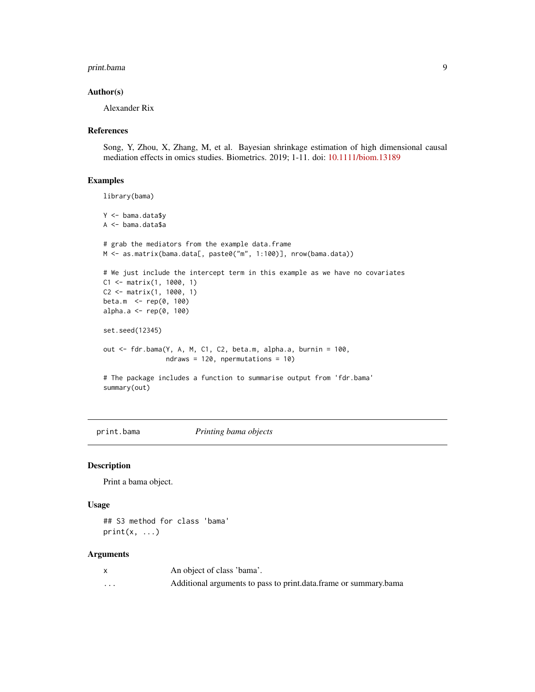#### <span id="page-8-0"></span>print.bama 9

#### Author(s)

Alexander Rix

#### References

Song, Y, Zhou, X, Zhang, M, et al. Bayesian shrinkage estimation of high dimensional causal mediation effects in omics studies. Biometrics. 2019; 1-11. doi: [10.1111/biom.13189](https://doi.org/10.1111/biom.13189)

#### Examples

```
library(bama)
Y <- bama.data$y
A <- bama.data$a
# grab the mediators from the example data.frame
M <- as.matrix(bama.data[, paste0("m", 1:100)], nrow(bama.data))
# We just include the intercept term in this example as we have no covariates
C1 <- matrix(1, 1000, 1)
C2 <- matrix(1, 1000, 1)
beta.m <- rep(0, 100)
alpha.a <- rep(0, 100)
set.seed(12345)
out <- fdr.bama(Y, A, M, C1, C2, beta.m, alpha.a, burnin = 100,
                ndraws = 120, npermutations = 10)
# The package includes a function to summarise output from 'fdr.bama'
summary(out)
```
print.bama *Printing bama objects*

#### Description

Print a bama object.

#### Usage

## S3 method for class 'bama'  $print(x, \ldots)$ 

#### Arguments

|   | An object of class 'bama'.                                       |
|---|------------------------------------------------------------------|
| . | Additional arguments to pass to print.data.frame or summary.bama |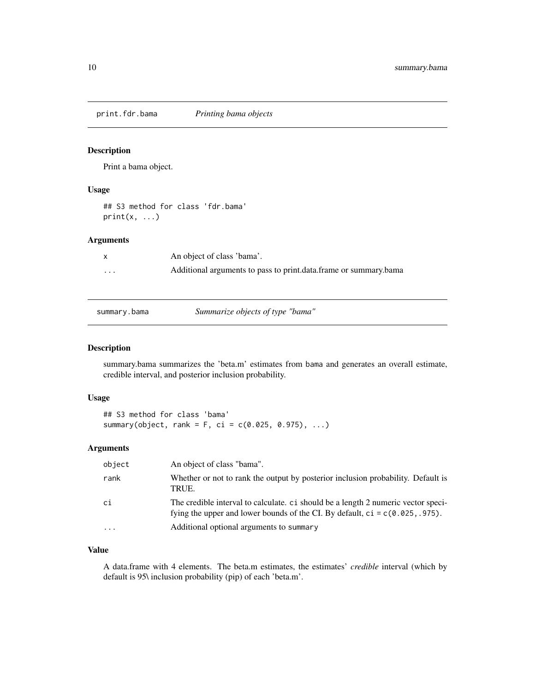<span id="page-9-0"></span>print.fdr.bama *Printing bama objects*

#### Description

Print a bama object.

#### Usage

## S3 method for class 'fdr.bama'  $print(x, \ldots)$ 

#### Arguments

|                         | An object of class 'bama'.                                       |
|-------------------------|------------------------------------------------------------------|
| $\cdot$ $\cdot$ $\cdot$ | Additional arguments to pass to print.data.frame or summary.bama |
|                         |                                                                  |

summary.bama *Summarize objects of type "bama"*

#### Description

summary.bama summarizes the 'beta.m' estimates from bama and generates an overall estimate, credible interval, and posterior inclusion probability.

#### Usage

## S3 method for class 'bama' summary(object, rank = F, ci =  $c(0.025, 0.975), ...$ )

#### Arguments

| object    | An object of class "bama".                                                                                                                                           |
|-----------|----------------------------------------------------------------------------------------------------------------------------------------------------------------------|
| rank      | Whether or not to rank the output by posterior inclusion probability. Default is<br>TRUE.                                                                            |
| сi        | The credible interval to calculate, ci should be a length 2 numeric vector speci-<br>fying the upper and lower bounds of the CI. By default, $ci = c(0.025, .975)$ . |
| $\ddotsc$ | Additional optional arguments to summary                                                                                                                             |

#### Value

A data.frame with 4 elements. The beta.m estimates, the estimates' *credible* interval (which by default is 95\ inclusion probability (pip) of each 'beta.m'.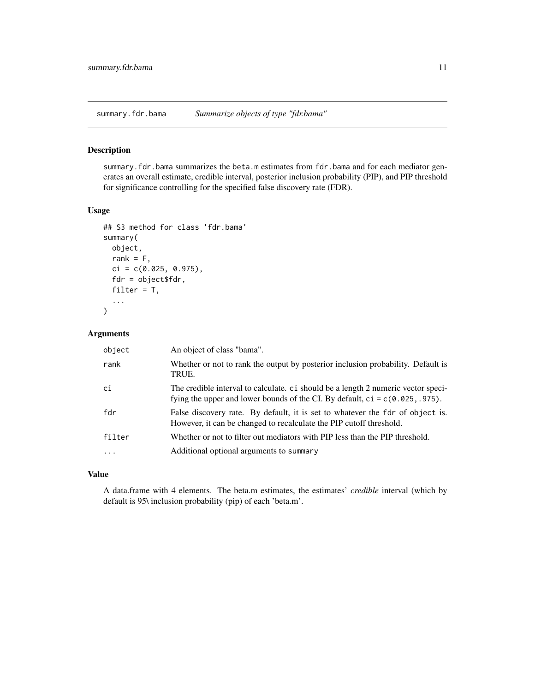<span id="page-10-0"></span>summary.fdr.bama *Summarize objects of type "fdr.bama"*

#### Description

summary.fdr.bama summarizes the beta.m estimates from fdr.bama and for each mediator generates an overall estimate, credible interval, posterior inclusion probability (PIP), and PIP threshold for significance controlling for the specified false discovery rate (FDR).

#### Usage

```
## S3 method for class 'fdr.bama'
summary(
  object,
  rank = F,
  ci = c(0.025, 0.975),
  fdr = object$fdr,
  filter = T,
  ...
\mathcal{L}
```
#### Arguments

| object | An object of class "bama".                                                                                                                                           |
|--------|----------------------------------------------------------------------------------------------------------------------------------------------------------------------|
| rank   | Whether or not to rank the output by posterior inclusion probability. Default is<br>TRUE.                                                                            |
| ci     | The credible interval to calculate. ci should be a length 2 numeric vector speci-<br>fying the upper and lower bounds of the CI. By default, $ci = c(0.025, .975)$ . |
| fdr    | False discovery rate. By default, it is set to whatever the fdr of object is.<br>However, it can be changed to recalculate the PIP cutoff threshold.                 |
| filter | Whether or not to filter out mediators with PIP less than the PIP threshold.                                                                                         |
|        | Additional optional arguments to summary                                                                                                                             |

#### Value

A data.frame with 4 elements. The beta.m estimates, the estimates' *credible* interval (which by default is 95\ inclusion probability (pip) of each 'beta.m'.